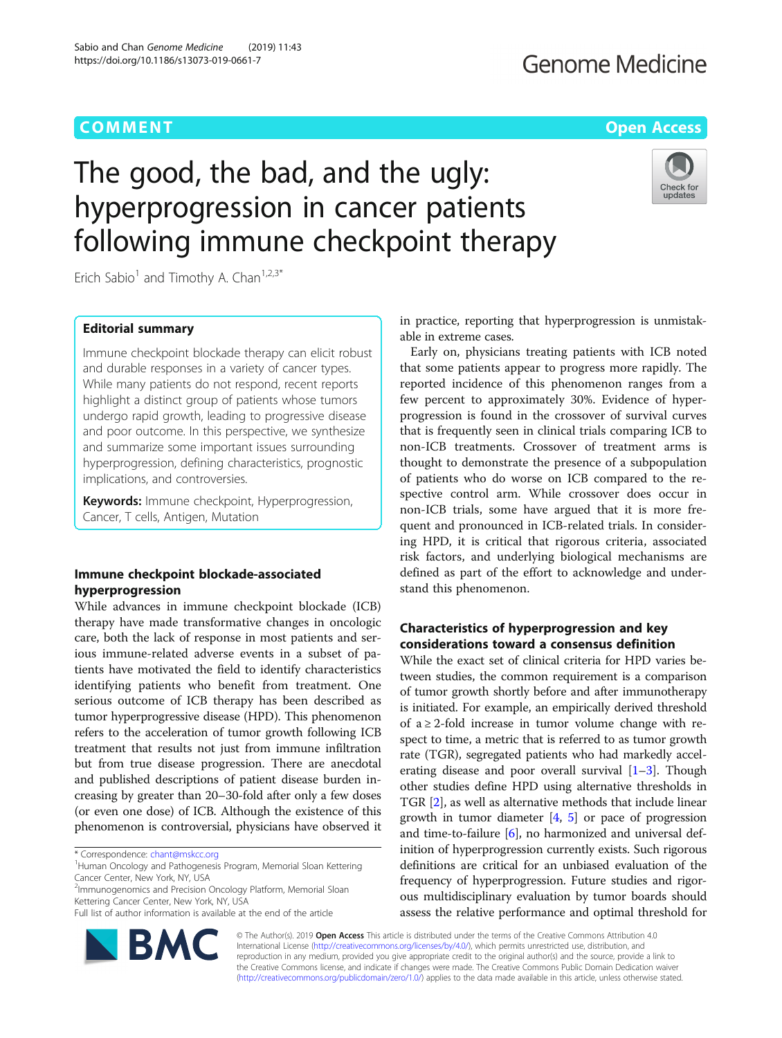# **COMMENT COMMENT COMMENT COMMENT**

# **Genome Medicine**

# The good, the bad, and the ugly: hyperprogression in cancer patients following immune checkpoint therapy



Erich Sabio<sup>1</sup> and Timothy A. Chan<sup>1,2,3\*</sup>

# Editorial summary

Immune checkpoint blockade therapy can elicit robust and durable responses in a variety of cancer types. While many patients do not respond, recent reports highlight a distinct group of patients whose tumors undergo rapid growth, leading to progressive disease and poor outcome. In this perspective, we synthesize and summarize some important issues surrounding hyperprogression, defining characteristics, prognostic implications, and controversies.

Keywords: Immune checkpoint, Hyperprogression, Cancer, T cells, Antigen, Mutation

# Immune checkpoint blockade-associated hyperprogression

While advances in immune checkpoint blockade (ICB) therapy have made transformative changes in oncologic care, both the lack of response in most patients and serious immune-related adverse events in a subset of patients have motivated the field to identify characteristics identifying patients who benefit from treatment. One serious outcome of ICB therapy has been described as tumor hyperprogressive disease (HPD). This phenomenon refers to the acceleration of tumor growth following ICB treatment that results not just from immune infiltration but from true disease progression. There are anecdotal and published descriptions of patient disease burden increasing by greater than 20–30-fold after only a few doses (or even one dose) of ICB. Although the existence of this phenomenon is controversial, physicians have observed it

\* Correspondence: [chant@mskcc.org](mailto:chant@mskcc.org) <sup>1</sup>

<sup>1</sup>Human Oncology and Pathogenesis Program, Memorial Sloan Kettering Cancer Center, New York, NY, USA

<sup>2</sup>Immunogenomics and Precision Oncology Platform, Memorial Sloan Kettering Cancer Center, New York, NY, USA

Full list of author information is available at the end of the article



in practice, reporting that hyperprogression is unmistakable in extreme cases.

Early on, physicians treating patients with ICB noted that some patients appear to progress more rapidly. The reported incidence of this phenomenon ranges from a few percent to approximately 30%. Evidence of hyperprogression is found in the crossover of survival curves that is frequently seen in clinical trials comparing ICB to non-ICB treatments. Crossover of treatment arms is thought to demonstrate the presence of a subpopulation of patients who do worse on ICB compared to the respective control arm. While crossover does occur in non-ICB trials, some have argued that it is more frequent and pronounced in ICB-related trials. In considering HPD, it is critical that rigorous criteria, associated risk factors, and underlying biological mechanisms are defined as part of the effort to acknowledge and understand this phenomenon.

# Characteristics of hyperprogression and key considerations toward a consensus definition

While the exact set of clinical criteria for HPD varies between studies, the common requirement is a comparison of tumor growth shortly before and after immunotherapy is initiated. For example, an empirically derived threshold of  $a \geq 2$ -fold increase in tumor volume change with respect to time, a metric that is referred to as tumor growth rate (TGR), segregated patients who had markedly accelerating disease and poor overall survival  $[1-3]$  $[1-3]$  $[1-3]$  $[1-3]$  $[1-3]$ . Though other studies define HPD using alternative thresholds in TGR [\[2](#page-2-0)], as well as alternative methods that include linear growth in tumor diameter  $[4, 5]$  $[4, 5]$  $[4, 5]$  $[4, 5]$  or pace of progression and time-to-failure  $[6]$  $[6]$ , no harmonized and universal definition of hyperprogression currently exists. Such rigorous definitions are critical for an unbiased evaluation of the frequency of hyperprogression. Future studies and rigorous multidisciplinary evaluation by tumor boards should assess the relative performance and optimal threshold for

© The Author(s). 2019 **Open Access** This article is distributed under the terms of the Creative Commons Attribution 4.0 International License [\(http://creativecommons.org/licenses/by/4.0/](http://creativecommons.org/licenses/by/4.0/)), which permits unrestricted use, distribution, and reproduction in any medium, provided you give appropriate credit to the original author(s) and the source, provide a link to the Creative Commons license, and indicate if changes were made. The Creative Commons Public Domain Dedication waiver [\(http://creativecommons.org/publicdomain/zero/1.0/](http://creativecommons.org/publicdomain/zero/1.0/)) applies to the data made available in this article, unless otherwise stated.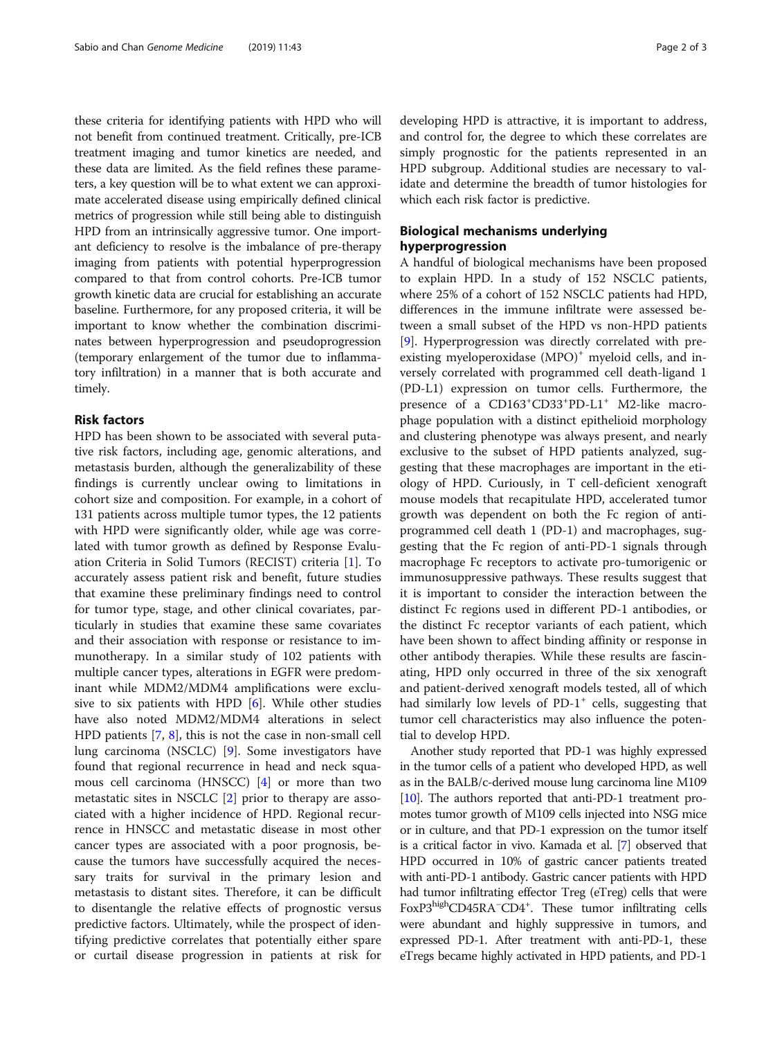these criteria for identifying patients with HPD who will not benefit from continued treatment. Critically, pre-ICB treatment imaging and tumor kinetics are needed, and these data are limited. As the field refines these parameters, a key question will be to what extent we can approximate accelerated disease using empirically defined clinical metrics of progression while still being able to distinguish HPD from an intrinsically aggressive tumor. One important deficiency to resolve is the imbalance of pre-therapy imaging from patients with potential hyperprogression compared to that from control cohorts. Pre-ICB tumor growth kinetic data are crucial for establishing an accurate baseline. Furthermore, for any proposed criteria, it will be important to know whether the combination discriminates between hyperprogression and pseudoprogression (temporary enlargement of the tumor due to inflammatory infiltration) in a manner that is both accurate and timely.

## Risk factors

HPD has been shown to be associated with several putative risk factors, including age, genomic alterations, and metastasis burden, although the generalizability of these findings is currently unclear owing to limitations in cohort size and composition. For example, in a cohort of 131 patients across multiple tumor types, the 12 patients with HPD were significantly older, while age was correlated with tumor growth as defined by Response Evaluation Criteria in Solid Tumors (RECIST) criteria [\[1](#page-2-0)]. To accurately assess patient risk and benefit, future studies that examine these preliminary findings need to control for tumor type, stage, and other clinical covariates, particularly in studies that examine these same covariates and their association with response or resistance to immunotherapy. In a similar study of 102 patients with multiple cancer types, alterations in EGFR were predominant while MDM2/MDM4 amplifications were exclusive to six patients with HPD [\[6](#page-2-0)]. While other studies have also noted MDM2/MDM4 alterations in select HPD patients [\[7](#page-2-0), [8](#page-2-0)], this is not the case in non-small cell lung carcinoma (NSCLC) [\[9\]](#page-2-0). Some investigators have found that regional recurrence in head and neck squamous cell carcinoma (HNSCC) [[4\]](#page-2-0) or more than two metastatic sites in NSCLC [[2\]](#page-2-0) prior to therapy are associated with a higher incidence of HPD. Regional recurrence in HNSCC and metastatic disease in most other cancer types are associated with a poor prognosis, because the tumors have successfully acquired the necessary traits for survival in the primary lesion and metastasis to distant sites. Therefore, it can be difficult to disentangle the relative effects of prognostic versus predictive factors. Ultimately, while the prospect of identifying predictive correlates that potentially either spare or curtail disease progression in patients at risk for developing HPD is attractive, it is important to address, and control for, the degree to which these correlates are simply prognostic for the patients represented in an HPD subgroup. Additional studies are necessary to validate and determine the breadth of tumor histologies for which each risk factor is predictive.

# Biological mechanisms underlying hyperprogression

A handful of biological mechanisms have been proposed to explain HPD. In a study of 152 NSCLC patients, where 25% of a cohort of 152 NSCLC patients had HPD, differences in the immune infiltrate were assessed between a small subset of the HPD vs non-HPD patients [[9\]](#page-2-0). Hyperprogression was directly correlated with preexisting myeloperoxidase (MPO)<sup>+</sup> myeloid cells, and inversely correlated with programmed cell death-ligand 1 (PD-L1) expression on tumor cells. Furthermore, the presence of a CD163<sup>+</sup>CD33<sup>+</sup>PD-L1<sup>+</sup> M2-like macrophage population with a distinct epithelioid morphology and clustering phenotype was always present, and nearly exclusive to the subset of HPD patients analyzed, suggesting that these macrophages are important in the etiology of HPD. Curiously, in T cell-deficient xenograft mouse models that recapitulate HPD, accelerated tumor growth was dependent on both the Fc region of antiprogrammed cell death 1 (PD-1) and macrophages, suggesting that the Fc region of anti-PD-1 signals through macrophage Fc receptors to activate pro-tumorigenic or immunosuppressive pathways. These results suggest that it is important to consider the interaction between the distinct Fc regions used in different PD-1 antibodies, or the distinct Fc receptor variants of each patient, which have been shown to affect binding affinity or response in other antibody therapies. While these results are fascinating, HPD only occurred in three of the six xenograft and patient-derived xenograft models tested, all of which had similarly low levels of  $PD-1^+$  cells, suggesting that tumor cell characteristics may also influence the potential to develop HPD.

Another study reported that PD-1 was highly expressed in the tumor cells of a patient who developed HPD, as well as in the BALB/c-derived mouse lung carcinoma line M109 [[10](#page-2-0)]. The authors reported that anti-PD-1 treatment promotes tumor growth of M109 cells injected into NSG mice or in culture, and that PD-1 expression on the tumor itself is a critical factor in vivo. Kamada et al. [\[7\]](#page-2-0) observed that HPD occurred in 10% of gastric cancer patients treated with anti-PD-1 antibody. Gastric cancer patients with HPD had tumor infiltrating effector Treg (eTreg) cells that were FoxP3highCD45RA<sup>-</sup>CD4<sup>+</sup>. These tumor infiltrating cells were abundant and highly suppressive in tumors, and expressed PD-1. After treatment with anti-PD-1, these eTregs became highly activated in HPD patients, and PD-1